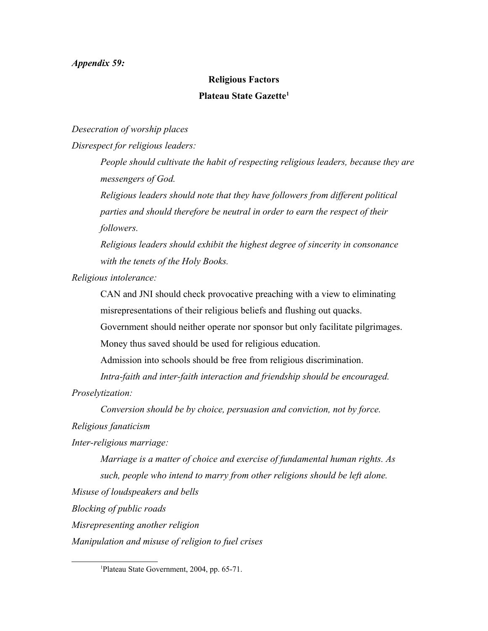## *Appendix 59:*

## **Religious Factors Plateau State Gazette[1](#page-0-0)**

*Desecration of worship places*

*Disrespect for religious leaders:*

*People should cultivate the habit of respecting religious leaders, because they are messengers of God.*

*Religious leaders should note that they have followers from different political parties and should therefore be neutral in order to earn the respect of their followers.*

*Religious leaders should exhibit the highest degree of sincerity in consonance with the tenets of the Holy Books.*

*Religious intolerance:*

CAN and JNI should check provocative preaching with a view to eliminating misrepresentations of their religious beliefs and flushing out quacks.

Government should neither operate nor sponsor but only facilitate pilgrimages.

Money thus saved should be used for religious education.

Admission into schools should be free from religious discrimination.

*Intra-faith and inter-faith interaction and friendship should be encouraged.*

*Proselytization:* 

*Conversion should be by choice, persuasion and conviction, not by force.*

*Religious fanaticism*

*Inter-religious marriage:*

*Marriage is a matter of choice and exercise of fundamental human rights. As such, people who intend to marry from other religions should be left alone.* 

*Misuse of loudspeakers and bells*

*Blocking of public roads*

*Misrepresenting another religion*

*Manipulation and misuse of religion to fuel crises*

<span id="page-0-0"></span><sup>1</sup>Plateau State Government, 2004, pp. 65-71.